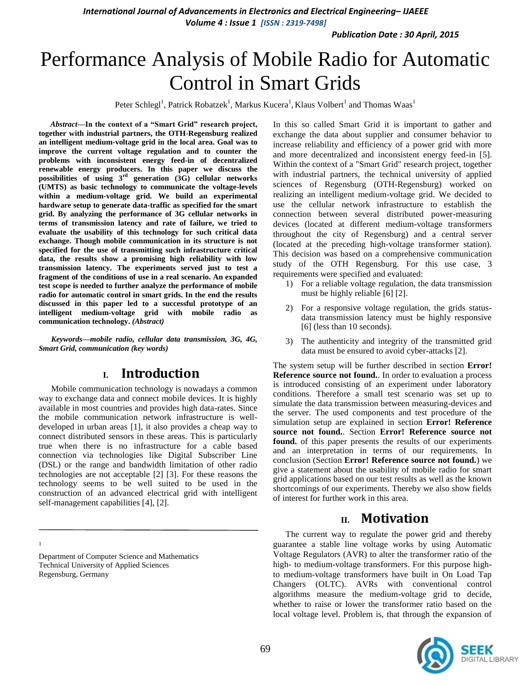*Publication Date : 30 April, 2015*

# Performance Analysis of Mobile Radio for Automatic Control in Smart Grids

Peter Schlegl<sup>1</sup>, Patrick Robatzek<sup>1</sup>, Markus Kucera<sup>1</sup>, Klaus Volbert<sup>1</sup> and Thomas Waas<sup>1</sup>

Abstract-In the context of a "Smart Grid" research project, **together with industrial partners, the OTH-Regensburg realized an intelligent medium-voltage grid in the local area. Goal was to improve the current voltage regulation and to counter the problems with inconsistent energy feed-in of decentralized renewable energy producers. In this paper we discuss the possibilities of using 3rd generation (3G) cellular networks (UMTS) as basic technology to communicate the voltage-levels within a medium-voltage grid. We build an experimental hardware setup to generate data-traffic as specified for the smart grid. By analyzing the performance of 3G cellular networks in terms of transmission latency and rate of failure, we tried to evaluate the usability of this technology for such critical data exchange. Though mobile communication in its structure is not specified for the use of transmitting such infrastructure critical data, the results show a promising high reliability with low transmission latency. The experiments served just to test a fragment of the conditions of use in a real scenario. An expanded test scope is needed to further analyze the performance of mobile radio for automatic control in smart grids. In the end the results discussed in this paper led to a successful prototype of an intelligent medium-voltage grid with mobile radio as communication technology.** *(Abstract)*

*Keywords—mobile radio, cellular data transmission, 3G, 4G, Smart Grid, communication (key words)*

# **I. Introduction**

Mobile communication technology is nowadays a common way to exchange data and connect mobile devices. It is highly available in most countries and provides high data-rates. Since the mobile communication network infrastructure is welldeveloped in urban areas [1], it also provides a cheap way to connect distributed sensors in these areas. This is particularly true when there is no infrastructure for a cable based connection via technologies like Digital Subscriber Line (DSL) or the range and bandwidth limitation of other radio technologies are not acceptable [2] [3]. For these reasons the technology seems to be well suited to be used in the construction of an advanced electrical grid with intelligent self-management capabilities [4], [2].

1

Department of Computer Science and Mathematics Technical University of Applied Sciences Regensburg, Germany

In this so called Smart Grid it is important to gather and exchange the data about supplier and consumer behavior to increase reliability and efficiency of a power grid with more and more decentralized and inconsistent energy feed-in [5]. Within the context of a "Smart Grid" research project, together with industrial partners, the technical university of applied sciences of Regensburg (OTH-Regensburg) worked on realizing an intelligent medium-voltage grid. We decided to use the cellular network infrastructure to establish the connection between several distributed power-measuring devices (located at different medium-voltage transformers throughout the city of Regensburg) and a central server (located at the preceding high-voltage transformer station). This decision was based on a comprehensive communication study of the OTH Regensburg. For this use case, 3 requirements were specified and evaluated:

- 1) For a reliable voltage regulation, the data transmission must be highly reliable [6] [2].
- 2) For a responsive voltage regulation, the grids statusdata transmission latency must be highly responsive [6] (less than 10 seconds).
- 3) The authenticity and integrity of the transmitted grid data must be ensured to avoid cyber-attacks [2].

The system setup will be further described in section **Error! Reference source not found.**. In order to evaluation a process is introduced consisting of an experiment under laboratory conditions. Therefore a small test scenario was set up to simulate the data transmission between measuring-devices and the server. The used components and test procedure of the simulation setup are explained in section **Error! Reference source not found.**. Section **Error! Reference source not found.** of this paper presents the results of our experiments and an interpretation in terms of our requirements. In conclusion (Section **Error! Reference source not found.**) we give a statement about the usability of mobile radio for smart grid applications based on our test results as well as the known shortcomings of our experiments. Thereby we also show fields of interest for further work in this area.

# **II. Motivation**

The current way to regulate the power grid and thereby guarantee a stable line voltage works by using Automatic Voltage Regulators (AVR) to alter the transformer ratio of the high- to medium-voltage transformers. For this purpose highto medium-voltage transformers have built in On Load Tap Changers (OLTC). AVRs with conventional control algorithms measure the medium-voltage grid to decide, whether to raise or lower the transformer ratio based on the local voltage level. Problem is, that through the expansion of

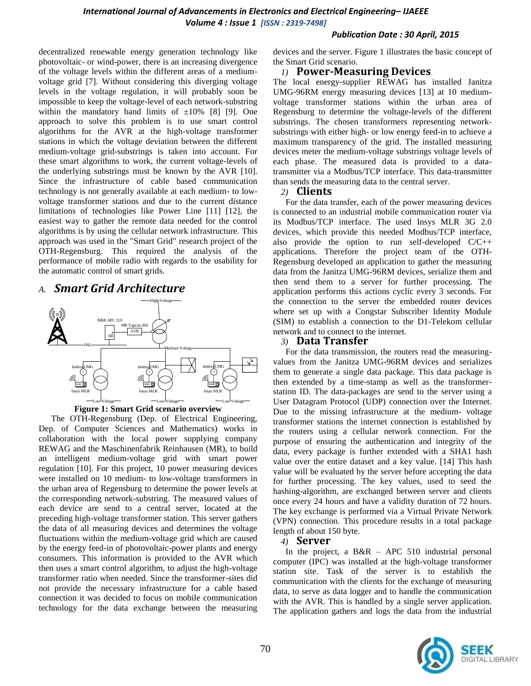decentralized renewable energy generation technology like photovoltaic- or wind-power, there is an increasing divergence of the voltage levels within the different areas of a mediumvoltage grid [7]. Without considering this diverging voltage levels in the voltage regulation, it will probably soon be impossible to keep the voltage-level of each network-substring within the mandatory band limits of  $\pm 10\%$  [8] [9]. One approach to solve this problem is to use smart control algorithms for the AVR at the high-voltage transformer stations in which the voltage deviation between the different medium-voltage grid-substrings is taken into account. For these smart algorithms to work, the current voltage-levels of the underlying substrings must be known by the AVR [10]. Since the infrastructure of cable based communication technology is not generally available at each medium- to lowvoltage transformer stations and due to the current distance limitations of technologies like Power Line [11] [12], the easiest way to gather the remote data needed for the control algorithms is by using the cellular network infrastructure. This approach was used in the "Smart Grid" research project of the OTH-Regensburg. This required the analysis of the performance of mobile radio with regards to the usability for the automatic control of smart grids.

# *A. Smart Grid Architecture*



**Figure 1: Smart Grid scenario overview**

<span id="page-1-0"></span>The OTH-Regensburg (Dep. of Electrical Engineering, Dep. of Computer Sciences and Mathematics) works in collaboration with the local power supplying company REWAG and the Maschinenfabrik Reinhausen (MR), to build an intelligent medium-voltage grid with smart power regulation [10]. For this project, 10 power measuring devices were installed on 10 medium- to low-voltage transformers in the urban area of Regensburg to determine the power levels at the corresponding network-substring. The measured values of each device are send to a central server, located at the preceding high-voltage transformer station. This server gathers the data of all measuring devices and determines the voltage fluctuations within the medium-voltage grid which are caused by the energy feed-in of photovoltaic-power plants and energy consumers. This information is provided to the AVR which then uses a smart control algorithm, to adjust the high-voltage transformer ratio when needed. Since the transformer-sites did not provide the necessary infrastructure for a cable based connection it was decided to focus on mobile communication technology for the data exchange between the measuring

#### *Publication Date : 30 April, 2015*

devices and the server. [Figure 1](#page-1-0) illustrates the basic concept of the Smart Grid scenario.

#### *1)* **Power-Measuring Devices**

The local energy-supplier REWAG has installed Janitza UMG-96RM energy measuring devices [13] at 10 mediumvoltage transformer stations within the urban area of Regensburg to determine the voltage-levels of the different substrings. The chosen transformers representing networksubstrings with either high- or low energy feed-in to achieve a maximum transparency of the grid. The installed measuring devices meter the medium-voltage substrings voltage levels of each phase. The measured data is provided to a datatransmitter via a Modbus/TCP interface. This data-transmitter than sends the measuring data to the central server.

#### *2)* **Clients**

For the data transfer, each of the power measuring devices is connected to an industrial mobile communication router via its Modbus/TCP interface. The used Insys MLR 3G 2.0 devices, which provide this needed Modbus/TCP interface, also provide the option to run self-developed C/C++ applications. Therefore the project team of the OTH-Regensburg developed an application to gather the measuring data from the Janitza UMG-96RM devices, serialize them and then send them to a server for further processing. The application performs this actions cyclic every 3 seconds. For the connection to the server the embedded router devices where set up with a Congstar Subscriber Identity Module (SIM) to establish a connection to the D1-Telekom cellular network and to connect to the internet.

#### *3)* **Data Transfer**

For the data transmission, the routers read the measuringvalues from the Janitza UMG-96RM devices and serializes them to generate a single data package. This data package is then extended by a time-stamp as well as the transformerstation ID. The data-packages are send to the server using a User Datagram Protocol (UDP) connection over the Internet. Due to the missing infrastructure at the medium- voltage transformer stations the internet connection is established by the routers using a cellular network connection. For the purpose of ensuring the authentication and integrity of the data, every package is further extended with a SHA1 hash value over the entire dataset and a key value. [14] This hash value will be evaluated by the server before accepting the data for further processing. The key values, used to seed the hashing-algorithm, are exchanged between server and clients once every 24 hours and have a validity duration of 72 hours. The key exchange is performed via a Virtual Private Network (VPN) connection. This procedure results in a total package length of about 150 byte.

#### *4)* **Server**

In the project, a  $B\&R - APC 510$  industrial personal computer (IPC) was installed at the high-voltage transformer station site. Task of the server is to establish the communication with the clients for the exchange of measuring data, to serve as data logger and to handle the communication with the AVR. This is handled by a single server application. The application gathers and logs the data from the industrial

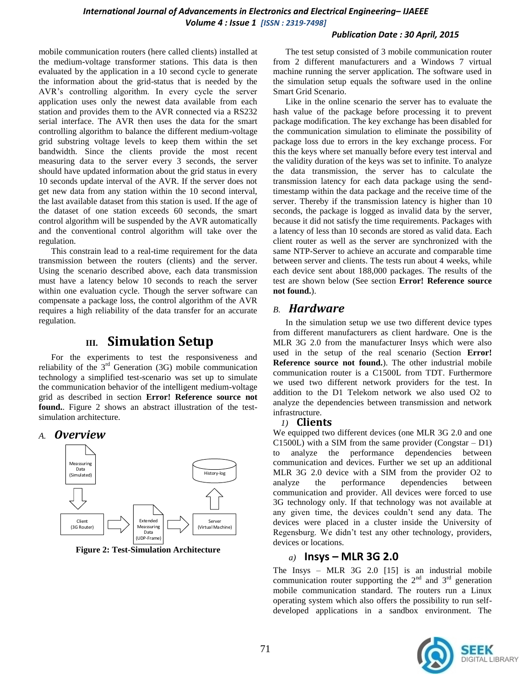#### *Publication Date : 30 April, 2015*

mobile communication routers (here called clients) installed at the medium-voltage transformer stations. This data is then evaluated by the application in a 10 second cycle to generate the information about the grid-status that is needed by the AVR's controlling algorithm. In every cycle the server application uses only the newest data available from each station and provides them to the AVR connected via a RS232 serial interface. The AVR then uses the data for the smart controlling algorithm to balance the different medium-voltage grid substring voltage levels to keep them within the set bandwidth. Since the clients provide the most recent measuring data to the server every 3 seconds, the server should have updated information about the grid status in every 10 seconds update interval of the AVR. If the server does not get new data from any station within the 10 second interval, the last available dataset from this station is used. If the age of the dataset of one station exceeds 60 seconds, the smart control algorithm will be suspended by the AVR automatically and the conventional control algorithm will take over the regulation.

This constrain lead to a real-time requirement for the data transmission between the routers (clients) and the server. Using the scenario described above, each data transmission must have a latency below 10 seconds to reach the server within one evaluation cycle. Though the server software can compensate a package loss, the control algorithm of the AVR requires a high reliability of the data transfer for an accurate regulation.

# **III. Simulation Setup**

For the experiments to test the responsiveness and reliability of the  $3<sup>rd</sup>$  Generation (3G) mobile communication technology a simplified test-scenario was set up to simulate the communication behavior of the intelligent medium-voltage grid as described in section **Error! Reference source not found.**. [Figure 2](#page-2-0) shows an abstract illustration of the testsimulation architecture.

## *A. Overview*



<span id="page-2-0"></span>**Figure 2: Test-Simulation Architecture**

The test setup consisted of 3 mobile communication router from 2 different manufacturers and a Windows 7 virtual machine running the server application. The software used in the simulation setup equals the software used in the online Smart Grid Scenario.

Like in the online scenario the server has to evaluate the hash value of the package before processing it to prevent package modification. The key exchange has been disabled for the communication simulation to eliminate the possibility of package loss due to errors in the key exchange process. For this the keys where set manually before every test interval and the validity duration of the keys was set to infinite. To analyze the data transmission, the server has to calculate the transmission latency for each data package using the sendtimestamp within the data package and the receive time of the server. Thereby if the transmission latency is higher than 10 seconds, the package is logged as invalid data by the server, because it did not satisfy the time requirements. Packages with a latency of less than 10 seconds are stored as valid data. Each client router as well as the server are synchronized with the same NTP-Server to achieve an accurate and comparable time between server and clients. The tests run about 4 weeks, while each device sent about 188,000 packages. The results of the test are shown below (See section **Error! Reference source not found.**).

# *B. Hardware*

In the simulation setup we use two different device types from different manufacturers as client hardware. One is the MLR 3G 2.0 from the manufacturer Insys which were also used in the setup of the real scenario (Section **Error! Reference source not found.**). The other industrial mobile communication router is a C1500L from TDT. Furthermore we used two different network providers for the test. In addition to the D1 Telekom network we also used O2 to analyze the dependencies between transmission and network infrastructure.

## *1)* **Clients**

We equipped two different devices (one MLR 3G 2.0 and one C1500L) with a SIM from the same provider (Congstar – D1) to analyze the performance dependencies between communication and devices. Further we set up an additional MLR 3G 2.0 device with a SIM from the provider O2 to analyze the performance dependencies between communication and provider. All devices were forced to use 3G technology only. If that technology was not available at any given time, the devices couldn't send any data. The devices were placed in a cluster inside the University of Regensburg. We didn't test any other technology, providers, devices or locations.

## *a)* **Insys – MLR 3G 2.0**

The Insys – MLR 3G 2.0 [15] is an industrial mobile communication router supporting the  $2<sup>nd</sup>$  and  $3<sup>rd</sup>$  generation mobile communication standard. The routers run a Linux operating system which also offers the possibility to run selfdeveloped applications in a sandbox environment. The

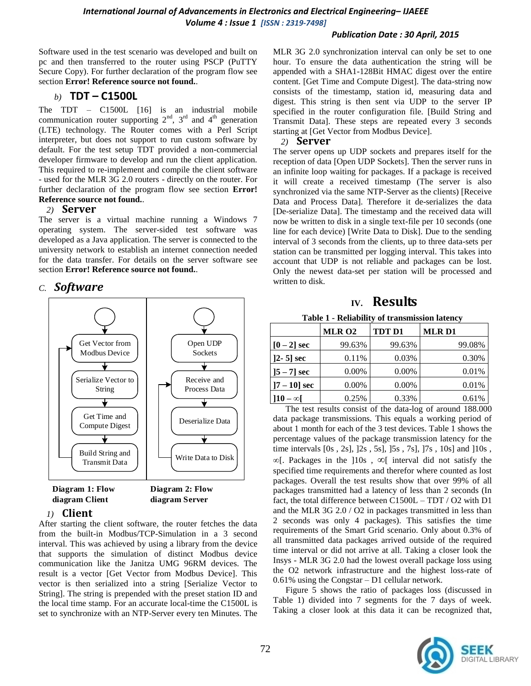#### *Publication Date : 30 April, 2015*

Software used in the test scenario was developed and built on pc and then transferred to the router using PSCP (PuTTY Secure Copy). For further declaration of the program flow see section **Error! Reference source not found.**.

# *b)* **TDT – C1500L**

The TDT – C1500L [16] is an industrial mobile communication router supporting  $2<sup>nd</sup>$ ,  $3<sup>rd</sup>$  and  $4<sup>th</sup>$  generation (LTE) technology. The Router comes with a Perl Script interpreter, but does not support to run custom software by default. For the test setup TDT provided a non-commercial developer firmware to develop and run the client application. This required to re-implement and compile the client software - used for the MLR 3G 2.0 routers - directly on the router. For further declaration of the program flow see section **Error! Reference source not found.**.

## *2)* **Server**

The server is a virtual machine running a Windows 7 operating system. The server-sided test software was developed as a Java application. The server is connected to the university network to establish an internet connection needed for the data transfer. For details on the server software see section **Error! Reference source not found.**.

# *C. Software*



## *1)* **Client**

After starting the client software, the router fetches the data from the built-in Modbus/TCP-Simulation in a 3 second interval. This was achieved by using a library from the device that supports the simulation of distinct Modbus device communication like the Janitza UMG 96RM devices. The result is a vector [Get Vector from Modbus Device]. This vector is then serialized into a string [Serialize Vector to String]. The string is prepended with the preset station ID and the local time stamp. For an accurate local-time the C1500L is set to synchronize with an NTP-Server every ten Minutes. The MLR 3G 2.0 synchronization interval can only be set to one hour. To ensure the data authentication the string will be appended with a SHA1-128Bit HMAC digest over the entire content. [Get Time and Compute Digest]. The data-string now consists of the timestamp, station id, measuring data and digest. This string is then sent via UDP to the server IP specified in the router configuration file. [Build String and Transmit Data]. These steps are repeated every 3 seconds starting at [Get Vector from Modbus Device].

#### *2)* **Server**

The server opens up UDP sockets and prepares itself for the reception of data [Open UDP Sockets]. Then the server runs in an infinite loop waiting for packages. If a package is received it will create a received timestamp (The server is also synchronized via the same NTP-Server as the clients) [Receive Data and Process Data]. Therefore it de-serializes the data [De-serialize Data]. The timestamp and the received data will now be written to disk in a single text-file per 10 seconds (one line for each device) [Write Data to Disk]. Due to the sending interval of 3 seconds from the clients, up to three data-sets per station can be transmitted per logging interval. This takes into account that UDP is not reliable and packages can be lost. Only the newest data-set per station will be processed and written to disk.

# **IV. Results**

**Table 1 - Reliability of transmission latency**

|                | <b>MLR 02</b> | <b>TDT D1</b> | <b>MLRD1</b> |
|----------------|---------------|---------------|--------------|
| $[0-2]$ sec    | 99.63%        | 99.63%        | 99.08%       |
| $]2 - 5]$ sec  | 0.11%         | 0.03%         | 0.30%        |
| $[5 - 7]$ sec  | 0.00%         | 0.00%         | 0.01%        |
| $]7 - 10]$ sec | 0.00%         | $0.00\%$      | 0.01%        |
| $10 - \infty$  | 0.25%         | 0.33%         | 0.61%        |

The test results consist of the data-log of around 188.000 data package transmissions. This equals a working period of about 1 month for each of the 3 test devices. Table 1 shows the percentage values of the package transmission latency for the time intervals [0s , 2s], ]2s , 5s], ]5s , 7s], ]7s , 10s] and ]10s , **∞**[. Packages in the ]10s , ∞[ interval did not satisfy the specified time requirements and therefor where counted as lost packages. Overall the test results show that over 99% of all packages transmitted had a latency of less than 2 seconds (In fact, the total difference between C1500L – TDT / O2 with D1 and the MLR 3G 2.0 / O2 in packages transmitted in less than 2 seconds was only 4 packages). This satisfies the time requirements of the Smart Grid scenario. Only about 0.3% of all transmitted data packages arrived outside of the required time interval or did not arrive at all. Taking a closer look the Insys - MLR 3G 2.0 had the lowest overall package loss using the O2 network infrastructure and the highest loss-rate of 0.61% using the Congstar – D1 cellular network.

[Figure 5](#page-4-0) shows the ratio of packages loss (discussed in Table 1) divided into 7 segments for the 7 days of week. Taking a closer look at this data it can be recognized that,

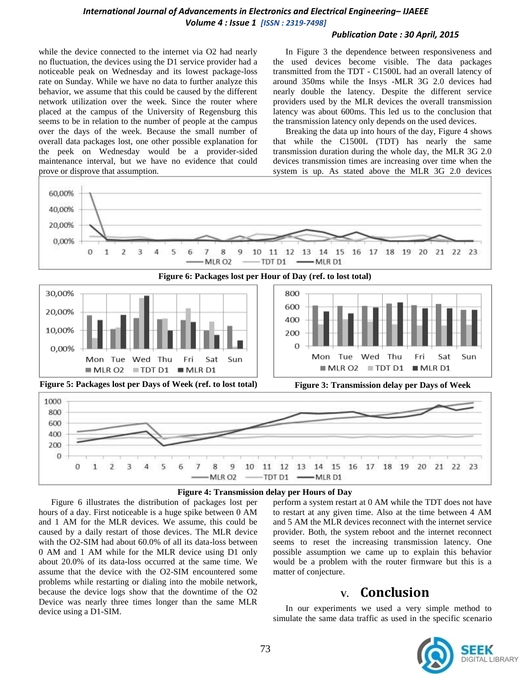#### *Publication Date : 30 April, 2015*

while the device connected to the internet via O2 had nearly no fluctuation, the devices using the D1 service provider had a noticeable peak on Wednesday and its lowest package-loss rate on Sunday. While we have no data to further analyze this behavior, we assume that this could be caused by the different network utilization over the week. Since the router where placed at the campus of the University of Regensburg this seems to be in relation to the number of people at the campus over the days of the week. Because the small number of overall data packages lost, one other possible explanation for the peek on Wednesday would be a provider-sided maintenance interval, but we have no evidence that could prove or disprove that assumption.

In [Figure 3](#page-4-2) the dependence between responsiveness and the used devices become visible. The data packages transmitted from the TDT - C1500L had an overall latency of around 350ms while the Insys -MLR 3G 2.0 devices had nearly double the latency. Despite the different service providers used by the MLR devices the overall transmission latency was about 600ms. This led us to the conclusion that the transmission latency only depends on the used devices.

Breaking the data up into hours of the day, [Figure 4](#page-4-3) shows that while the C1500L (TDT) has nearly the same transmission duration during the whole day, the MLR 3G 2.0 devices transmission times are increasing over time when the system is up. As stated above the MLR 3G 2.0 devices

<span id="page-4-1"></span>

#### **Figure 4: Transmission delay per Hours of Day**

<span id="page-4-3"></span><span id="page-4-0"></span>[Figure 6](#page-4-1) illustrates the distribution of packages lost per hours of a day. First noticeable is a huge spike between 0 AM and 1 AM for the MLR devices. We assume, this could be caused by a daily restart of those devices. The MLR device with the O2-SIM had about 60.0% of all its data-loss between 0 AM and 1 AM while for the MLR device using D1 only about 20.0% of its data-loss occurred at the same time. We assume that the device with the O2-SIM encountered some problems while restarting or dialing into the mobile network, because the device logs show that the downtime of the O2 Device was nearly three times longer than the same MLR device using a D1-SIM.

<span id="page-4-2"></span>perform a system restart at 0 AM while the TDT does not have to restart at any given time. Also at the time between 4 AM and 5 AM the MLR devices reconnect with the internet service provider. Both, the system reboot and the internet reconnect seems to reset the increasing transmission latency. One possible assumption we came up to explain this behavior would be a problem with the router firmware but this is a matter of conjecture.

# **V. Conclusion**

In our experiments we used a very simple method to simulate the same data traffic as used in the specific scenario

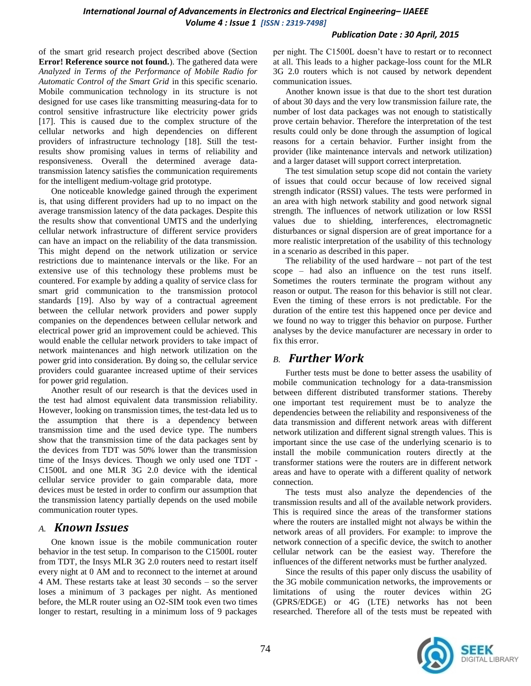#### *Publication Date : 30 April, 2015*

of the smart grid research project described above (Section **Error! Reference source not found.**). The gathered data were *Analyzed in Terms of the Performance of Mobile Radio for Automatic Control of the Smart Grid* in this specific scenario. Mobile communication technology in its structure is not designed for use cases like transmitting measuring-data for to control sensitive infrastructure like electricity power grids [17]. This is caused due to the complex structure of the cellular networks and high dependencies on different providers of infrastructure technology [18]. Still the testresults show promising values in terms of reliability and responsiveness. Overall the determined average datatransmission latency satisfies the communication requirements for the intelligent medium-voltage grid prototype.

One noticeable knowledge gained through the experiment is, that using different providers had up to no impact on the average transmission latency of the data packages. Despite this the results show that conventional UMTS and the underlying cellular network infrastructure of different service providers can have an impact on the reliability of the data transmission. This might depend on the network utilization or service restrictions due to maintenance intervals or the like. For an extensive use of this technology these problems must be countered. For example by adding a quality of service class for smart grid communication to the transmission protocol standards [19]. Also by way of a contractual agreement between the cellular network providers and power supply companies on the dependences between cellular network and electrical power grid an improvement could be achieved. This would enable the cellular network providers to take impact of network maintenances and high network utilization on the power grid into consideration. By doing so, the cellular service providers could guarantee increased uptime of their services for power grid regulation.

Another result of our research is that the devices used in the test had almost equivalent data transmission reliability. However, looking on transmission times, the test-data led us to the assumption that there is a dependency between transmission time and the used device type. The numbers show that the transmission time of the data packages sent by the devices from TDT was 50% lower than the transmission time of the Insys devices. Though we only used one TDT - C1500L and one MLR 3G 2.0 device with the identical cellular service provider to gain comparable data, more devices must be tested in order to confirm our assumption that the transmission latency partially depends on the used mobile communication router types.

## *A. Known Issues*

One known issue is the mobile communication router behavior in the test setup. In comparison to the C1500L router from TDT, the Insys MLR 3G 2.0 routers need to restart itself every night at 0 AM and to reconnect to the internet at around 4 AM. These restarts take at least 30 seconds – so the server loses a minimum of 3 packages per night. As mentioned before, the MLR router using an O2-SIM took even two times longer to restart, resulting in a minimum loss of 9 packages per night. The C1500L doesn't have to restart or to reconnect at all. This leads to a higher package-loss count for the MLR 3G 2.0 routers which is not caused by network dependent communication issues.

Another known issue is that due to the short test duration of about 30 days and the very low transmission failure rate, the number of lost data packages was not enough to statistically prove certain behavior. Therefore the interpretation of the test results could only be done through the assumption of logical reasons for a certain behavior. Further insight from the provider (like maintenance intervals and network utilization) and a larger dataset will support correct interpretation.

The test simulation setup scope did not contain the variety of issues that could occur because of low received signal strength indicator (RSSI) values. The tests were performed in an area with high network stability and good network signal strength. The influences of network utilization or low RSSI values due to shielding, interferences, electromagnetic disturbances or signal dispersion are of great importance for a more realistic interpretation of the usability of this technology in a scenario as described in this paper.

The reliability of the used hardware – not part of the test scope – had also an influence on the test runs itself. Sometimes the routers terminate the program without any reason or output. The reason for this behavior is still not clear. Even the timing of these errors is not predictable. For the duration of the entire test this happened once per device and we found no way to trigger this behavior on purpose. Further analyses by the device manufacturer are necessary in order to fix this error.

# *B. Further Work*

Further tests must be done to better assess the usability of mobile communication technology for a data-transmission between different distributed transformer stations. Thereby one important test requirement must be to analyze the dependencies between the reliability and responsiveness of the data transmission and different network areas with different network utilization and different signal strength values. This is important since the use case of the underlying scenario is to install the mobile communication routers directly at the transformer stations were the routers are in different network areas and have to operate with a different quality of network connection.

The tests must also analyze the dependencies of the transmission results and all of the available network providers. This is required since the areas of the transformer stations where the routers are installed might not always be within the network areas of all providers. For example: to improve the network connection of a specific device, the switch to another cellular network can be the easiest way. Therefore the influences of the different networks must be further analyzed.

Since the results of this paper only discuss the usability of the 3G mobile communication networks, the improvements or limitations of using the router devices within 2G (GPRS/EDGE) or 4G (LTE) networks has not been researched. Therefore all of the tests must be repeated with